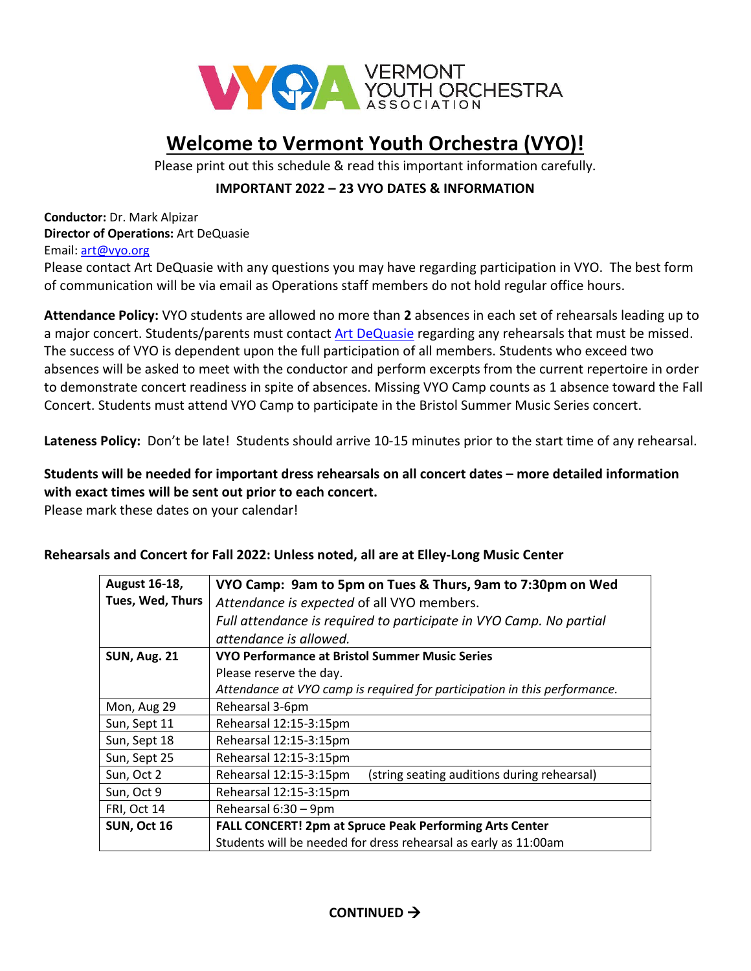

# **Welcome to Vermont Youth Orchestra (VYO)!**

Please print out this schedule & read this important information carefully.

### **IMPORTANT 2022 – 23 VYO DATES & INFORMATION**

**Conductor:** Dr. Mark Alpizar **Director of Operations:** Art DeQuasie Email: [art@vyo.org](mailto:art@vyo.org)

Please contact [Art](mailto:mia@vyo.org) DeQuasie with any questions you may have regarding participation in VYO. The best form of communication will be via email as Operations staff members do not hold regular office hours.

**Attendance Policy:** VYO students are allowed no more than **2** absences in each set of rehearsals leading up to a major concert. Students/parents must contact [Art DeQuasie](mailto:art@vyo.org?subject=VYP%202010-2011) regarding any rehearsals that must be missed. The success of VYO is dependent upon the full participation of all members. Students who exceed two absences will be asked to meet with the conductor and perform excerpts from the current repertoire in order to demonstrate concert readiness in spite of absences. Missing VYO Camp counts as 1 absence toward the Fall Concert. Students must attend VYO Camp to participate in the Bristol Summer Music Series concert.

**Lateness Policy:** Don't be late! Students should arrive 10-15 minutes prior to the start time of any rehearsal.

#### **Students will be needed for important dress rehearsals on all concert dates – more detailed information with exact times will be sent out prior to each concert.**

Please mark these dates on your calendar!

#### **Rehearsals and Concert for Fall 2022: Unless noted, all are at Elley-Long Music Center**

| <b>August 16-18,</b> | VYO Camp: 9am to 5pm on Tues & Thurs, 9am to 7:30pm on Wed                |  |
|----------------------|---------------------------------------------------------------------------|--|
| Tues, Wed, Thurs     | Attendance is expected of all VYO members.                                |  |
|                      | Full attendance is required to participate in VYO Camp. No partial        |  |
|                      | attendance is allowed.                                                    |  |
| <b>SUN, Aug. 21</b>  | VYO Performance at Bristol Summer Music Series                            |  |
|                      | Please reserve the day.                                                   |  |
|                      | Attendance at VYO camp is required for participation in this performance. |  |
| Mon, Aug 29          | Rehearsal 3-6pm                                                           |  |
| Sun, Sept 11         | Rehearsal 12:15-3:15pm                                                    |  |
| Sun, Sept 18         | Rehearsal 12:15-3:15pm                                                    |  |
| Sun, Sept 25         | Rehearsal 12:15-3:15pm                                                    |  |
| Sun, Oct 2           | Rehearsal 12:15-3:15pm<br>(string seating auditions during rehearsal)     |  |
| Sun, Oct 9           | Rehearsal 12:15-3:15pm                                                    |  |
| FRI, Oct 14          | Rehearsal 6:30 - 9pm                                                      |  |
| SUN, Oct 16          | FALL CONCERT! 2pm at Spruce Peak Performing Arts Center                   |  |
|                      | Students will be needed for dress rehearsal as early as 11:00am           |  |